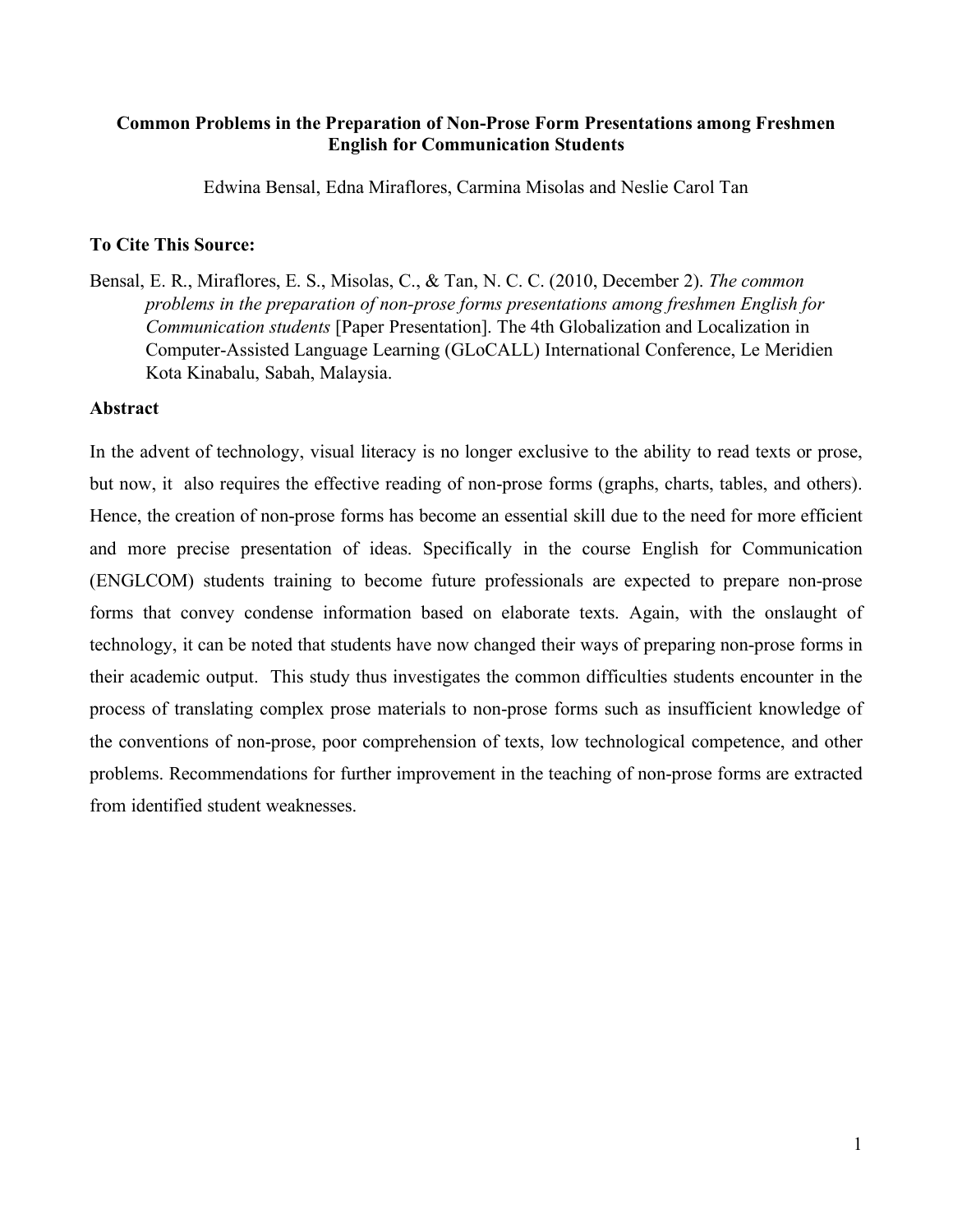# **Common Problems in the Preparation of Non-Prose Form Presentations among Freshmen English for Communication Students**

Edwina Bensal, Edna Miraflores, Carmina Misolas and Neslie Carol Tan

# **To Cite This Source:**

Bensal, E. R., Miraflores, E. S., Misolas, C., & Tan, N. C. C. (2010, December 2). *The common problems in the preparation of non-prose forms presentations among freshmen English for Communication students* [Paper Presentation]. The 4th Globalization and Localization in Computer-Assisted Language Learning (GLoCALL) International Conference, Le Meridien Kota Kinabalu, Sabah, Malaysia.

# **Abstract**

In the advent of technology, visual literacy is no longer exclusive to the ability to read texts or prose, but now, it also requires the effective reading of non-prose forms (graphs, charts, tables, and others). Hence, the creation of non-prose forms has become an essential skill due to the need for more efficient and more precise presentation of ideas. Specifically in the course English for Communication (ENGLCOM) students training to become future professionals are expected to prepare non-prose forms that convey condense information based on elaborate texts. Again, with the onslaught of technology, it can be noted that students have now changed their ways of preparing non-prose forms in their academic output. This study thus investigates the common difficulties students encounter in the process of translating complex prose materials to non-prose forms such as insufficient knowledge of the conventions of non-prose, poor comprehension of texts, low technological competence, and other problems. Recommendations for further improvement in the teaching of non-prose forms are extracted from identified student weaknesses.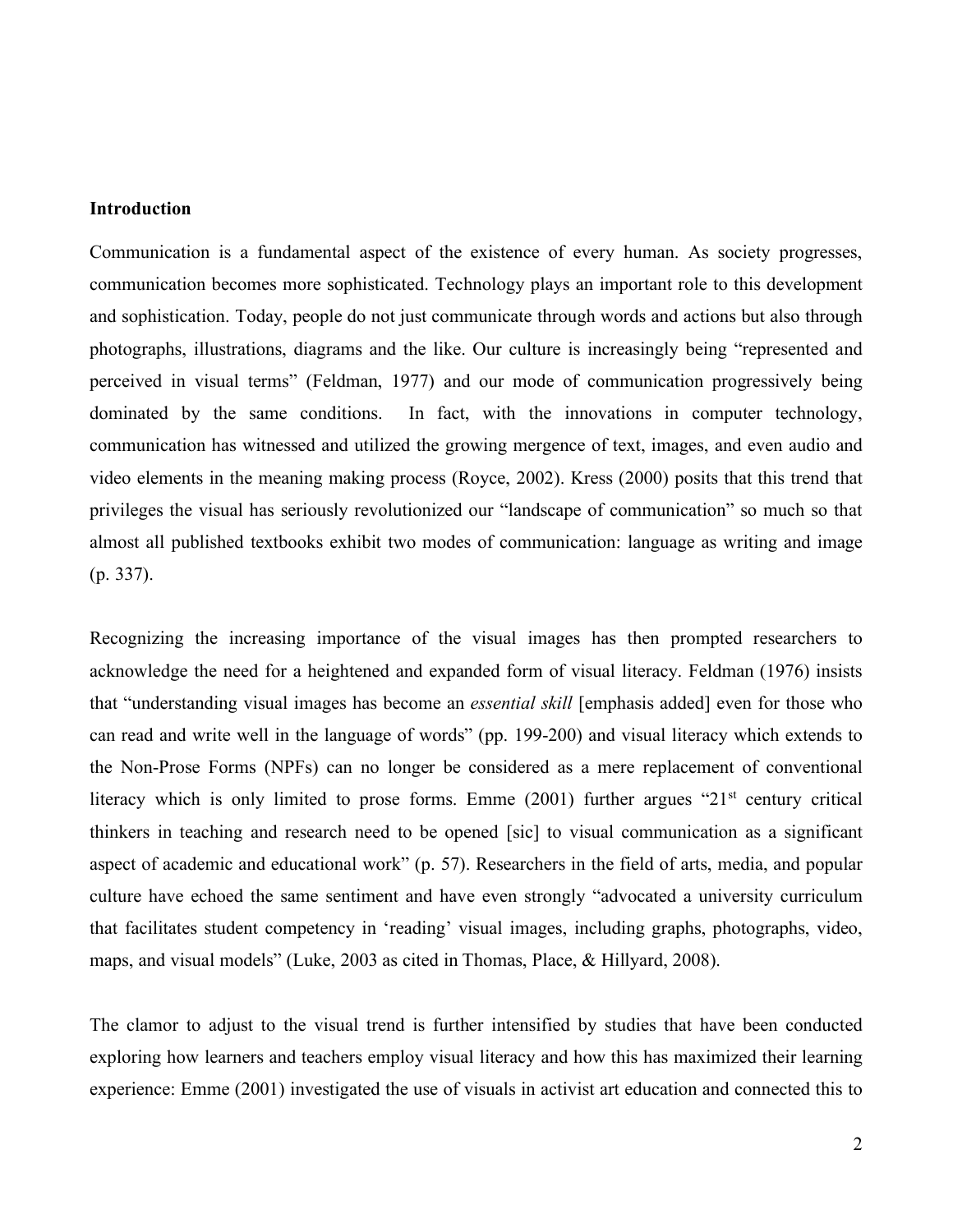## **Introduction**

Communication is a fundamental aspect of the existence of every human. As society progresses, communication becomes more sophisticated. Technology plays an important role to this development and sophistication. Today, people do not just communicate through words and actions but also through photographs, illustrations, diagrams and the like. Our culture is increasingly being "represented and perceived in visual terms" (Feldman, 1977) and our mode of communication progressively being dominated by the same conditions. In fact, with the innovations in computer technology, communication has witnessed and utilized the growing mergence of text, images, and even audio and video elements in the meaning making process (Royce, 2002). Kress (2000) posits that this trend that privileges the visual has seriously revolutionized our "landscape of communication" so much so that almost all published textbooks exhibit two modes of communication: language as writing and image (p. 337).

Recognizing the increasing importance of the visual images has then prompted researchers to acknowledge the need for a heightened and expanded form of visual literacy. Feldman (1976) insists that "understanding visual images has become an *essential skill* [emphasis added] even for those who can read and write well in the language of words" (pp. 199-200) and visual literacy which extends to the Non-Prose Forms (NPFs) can no longer be considered as a mere replacement of conventional literacy which is only limited to prose forms. Emme (2001) further argues "21<sup>st</sup> century critical thinkers in teaching and research need to be opened [sic] to visual communication as a significant aspect of academic and educational work" (p. 57). Researchers in the field of arts, media, and popular culture have echoed the same sentiment and have even strongly "advocated a university curriculum that facilitates student competency in 'reading' visual images, including graphs, photographs, video, maps, and visual models" (Luke, 2003 as cited in Thomas, Place, & Hillyard, 2008).

The clamor to adjust to the visual trend is further intensified by studies that have been conducted exploring how learners and teachers employ visual literacy and how this has maximized their learning experience: Emme (2001) investigated the use of visuals in activist art education and connected this to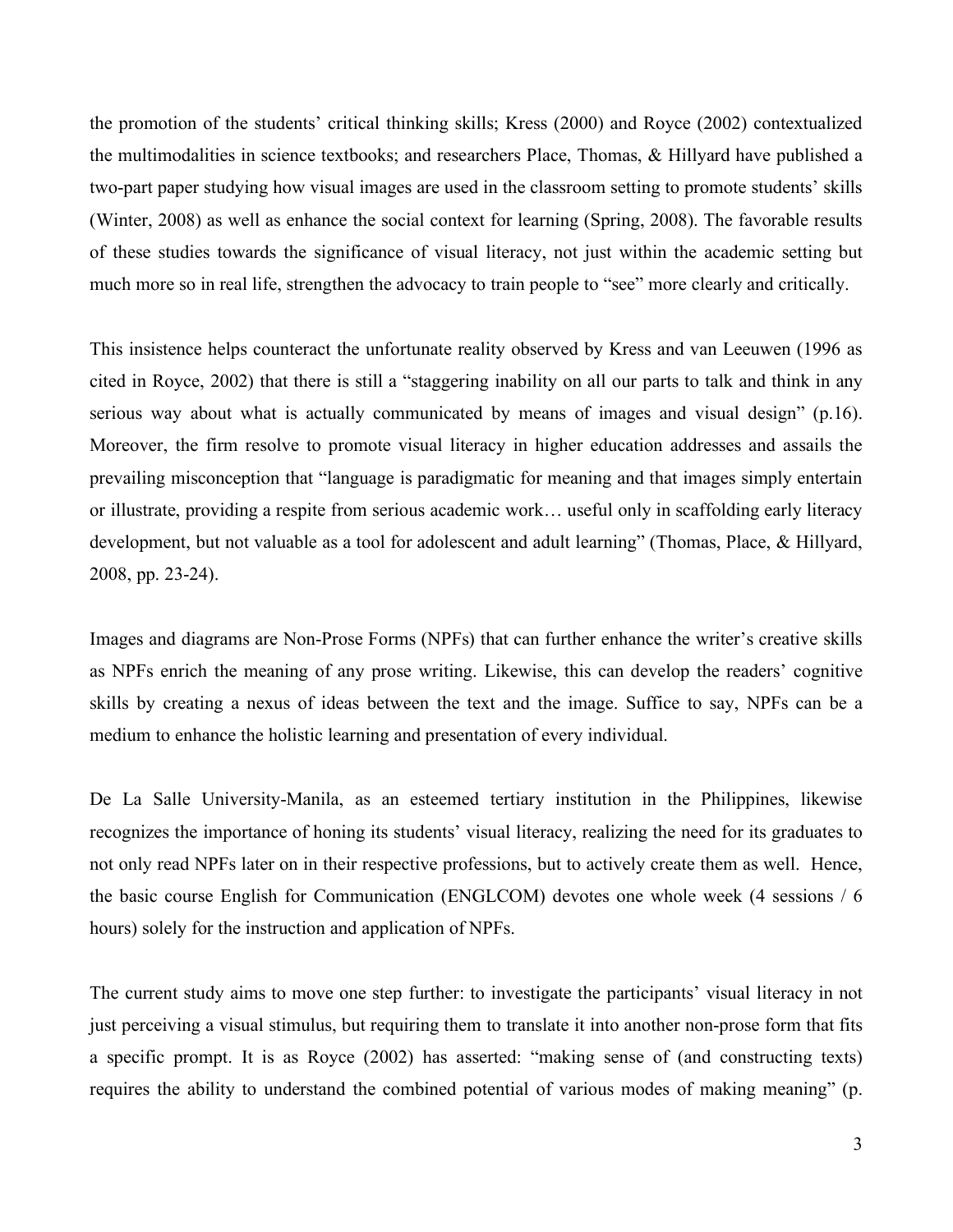the promotion of the students' critical thinking skills; Kress (2000) and Royce (2002) contextualized the multimodalities in science textbooks; and researchers Place, Thomas, & Hillyard have published a two-part paper studying how visual images are used in the classroom setting to promote students' skills (Winter, 2008) as well as enhance the social context for learning (Spring, 2008). The favorable results of these studies towards the significance of visual literacy, not just within the academic setting but much more so in real life, strengthen the advocacy to train people to "see" more clearly and critically.

This insistence helps counteract the unfortunate reality observed by Kress and van Leeuwen (1996 as cited in Royce, 2002) that there is still a "staggering inability on all our parts to talk and think in any serious way about what is actually communicated by means of images and visual design" (p.16). Moreover, the firm resolve to promote visual literacy in higher education addresses and assails the prevailing misconception that "language is paradigmatic for meaning and that images simply entertain or illustrate, providing a respite from serious academic work… useful only in scaffolding early literacy development, but not valuable as a tool for adolescent and adult learning" (Thomas, Place, & Hillyard, 2008, pp. 23-24).

Images and diagrams are Non-Prose Forms (NPFs) that can further enhance the writer's creative skills as NPFs enrich the meaning of any prose writing. Likewise, this can develop the readers' cognitive skills by creating a nexus of ideas between the text and the image. Suffice to say, NPFs can be a medium to enhance the holistic learning and presentation of every individual.

De La Salle University-Manila, as an esteemed tertiary institution in the Philippines, likewise recognizes the importance of honing its students' visual literacy, realizing the need for its graduates to not only read NPFs later on in their respective professions, but to actively create them as well. Hence, the basic course English for Communication (ENGLCOM) devotes one whole week (4 sessions / 6 hours) solely for the instruction and application of NPFs.

The current study aims to move one step further: to investigate the participants' visual literacy in not just perceiving a visual stimulus, but requiring them to translate it into another non-prose form that fits a specific prompt. It is as Royce (2002) has asserted: "making sense of (and constructing texts) requires the ability to understand the combined potential of various modes of making meaning" (p.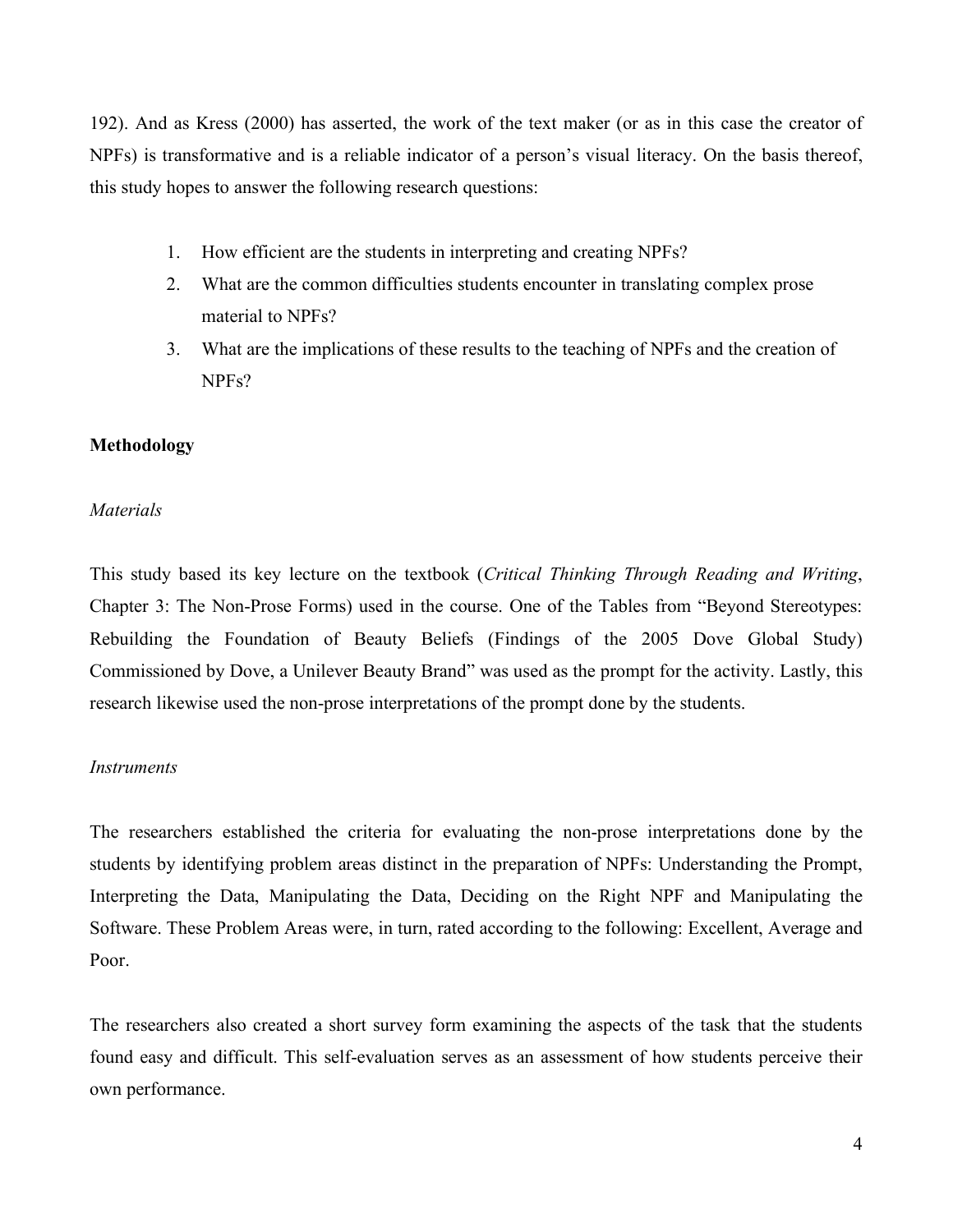192). And as Kress (2000) has asserted, the work of the text maker (or as in this case the creator of NPFs) is transformative and is a reliable indicator of a person's visual literacy. On the basis thereof, this study hopes to answer the following research questions:

- 1. How efficient are the students in interpreting and creating NPFs?
- 2. What are the common difficulties students encounter in translating complex prose material to NPFs?
- 3. What are the implications of these results to the teaching of NPFs and the creation of NPFs?

# **Methodology**

### *Materials*

This study based its key lecture on the textbook (*Critical Thinking Through Reading and Writing*, Chapter 3: The Non-Prose Forms) used in the course. One of the Tables from "Beyond Stereotypes: Rebuilding the Foundation of Beauty Beliefs (Findings of the 2005 Dove Global Study) Commissioned by Dove, a Unilever Beauty Brand" was used as the prompt for the activity. Lastly, this research likewise used the non-prose interpretations of the prompt done by the students.

#### *Instruments*

The researchers established the criteria for evaluating the non-prose interpretations done by the students by identifying problem areas distinct in the preparation of NPFs: Understanding the Prompt, Interpreting the Data, Manipulating the Data, Deciding on the Right NPF and Manipulating the Software. These Problem Areas were, in turn, rated according to the following: Excellent, Average and Poor.

The researchers also created a short survey form examining the aspects of the task that the students found easy and difficult. This self-evaluation serves as an assessment of how students perceive their own performance.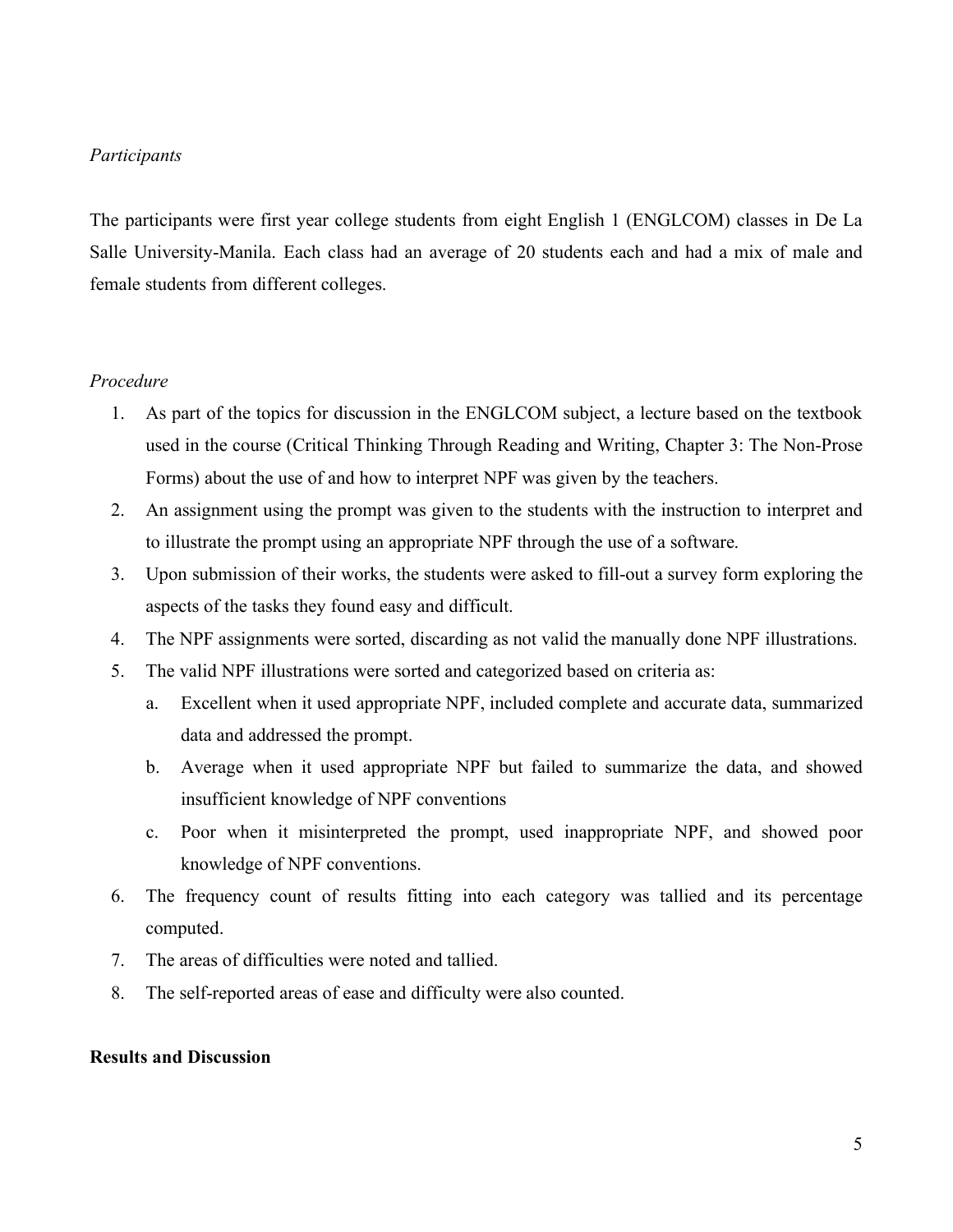# *Participants*

The participants were first year college students from eight English 1 (ENGLCOM) classes in De La Salle University-Manila. Each class had an average of 20 students each and had a mix of male and female students from different colleges.

### *Procedure*

- 1. As part of the topics for discussion in the ENGLCOM subject, a lecture based on the textbook used in the course (Critical Thinking Through Reading and Writing, Chapter 3: The Non-Prose Forms) about the use of and how to interpret NPF was given by the teachers.
- 2. An assignment using the prompt was given to the students with the instruction to interpret and to illustrate the prompt using an appropriate NPF through the use of a software.
- 3. Upon submission of their works, the students were asked to fill-out a survey form exploring the aspects of the tasks they found easy and difficult.
- 4. The NPF assignments were sorted, discarding as not valid the manually done NPF illustrations.
- 5. The valid NPF illustrations were sorted and categorized based on criteria as:
	- a. Excellent when it used appropriate NPF, included complete and accurate data, summarized data and addressed the prompt.
	- b. Average when it used appropriate NPF but failed to summarize the data, and showed insufficient knowledge of NPF conventions
	- c. Poor when it misinterpreted the prompt, used inappropriate NPF, and showed poor knowledge of NPF conventions.
- 6. The frequency count of results fitting into each category was tallied and its percentage computed.
- 7. The areas of difficulties were noted and tallied.
- 8. The self-reported areas of ease and difficulty were also counted.

#### **Results and Discussion**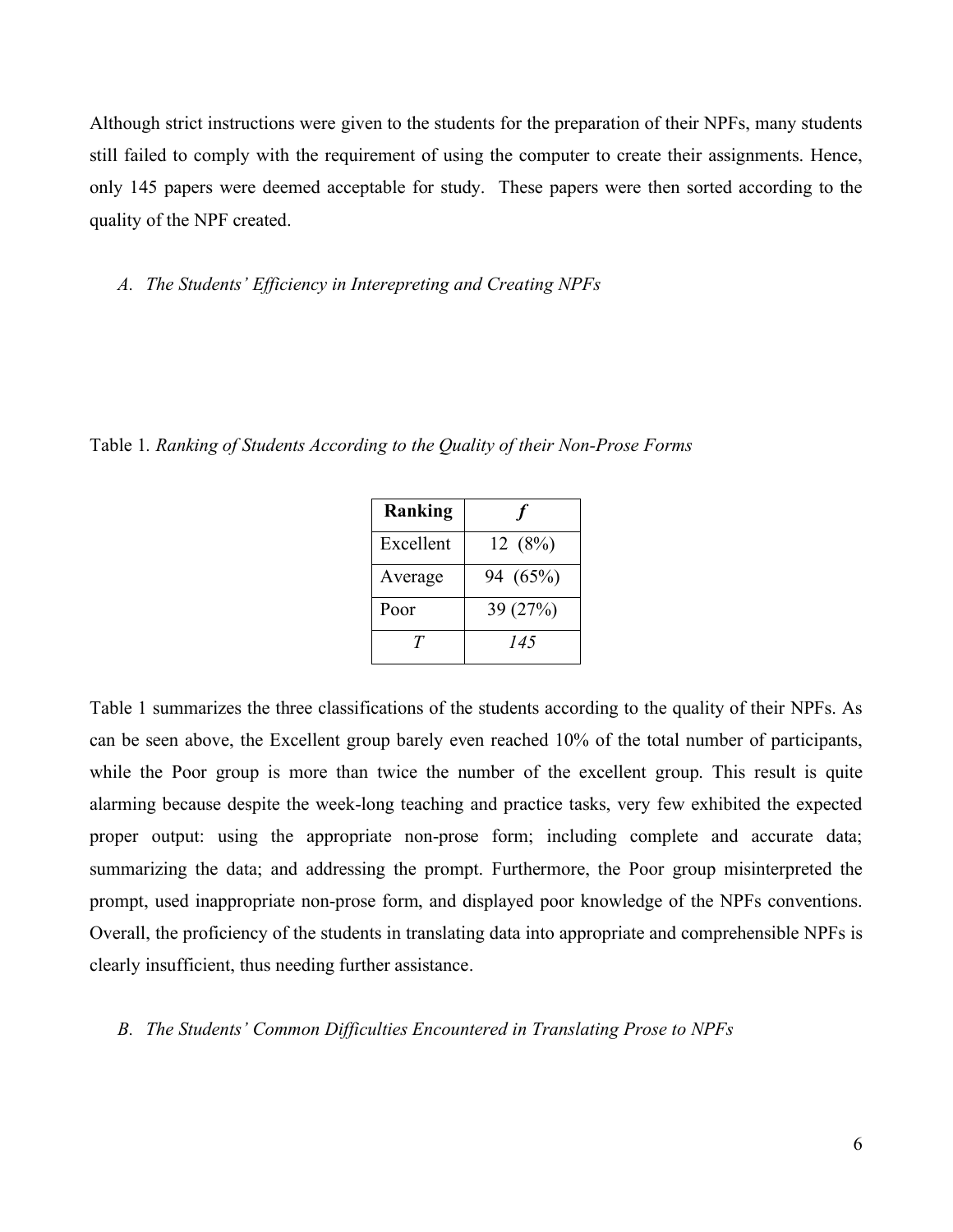Although strict instructions were given to the students for the preparation of their NPFs, many students still failed to comply with the requirement of using the computer to create their assignments. Hence, only 145 papers were deemed acceptable for study. These papers were then sorted according to the quality of the NPF created.

*A. The Students' Efficiency in Interepreting and Creating NPFs*

Table 1*. Ranking of Students According to the Quality of their Non-Prose Forms*

| Ranking   |          |
|-----------|----------|
| Excellent | 12(8%)   |
| Average   | 94 (65%) |
| Poor      | 39 (27%) |
| T         | 145      |

Table 1 summarizes the three classifications of the students according to the quality of their NPFs. As can be seen above, the Excellent group barely even reached 10% of the total number of participants, while the Poor group is more than twice the number of the excellent group. This result is quite alarming because despite the week-long teaching and practice tasks, very few exhibited the expected proper output: using the appropriate non-prose form; including complete and accurate data; summarizing the data; and addressing the prompt. Furthermore, the Poor group misinterpreted the prompt, used inappropriate non-prose form, and displayed poor knowledge of the NPFs conventions. Overall, the proficiency of the students in translating data into appropriate and comprehensible NPFs is clearly insufficient, thus needing further assistance.

# *B. The Students' Common Difficulties Encountered in Translating Prose to NPFs*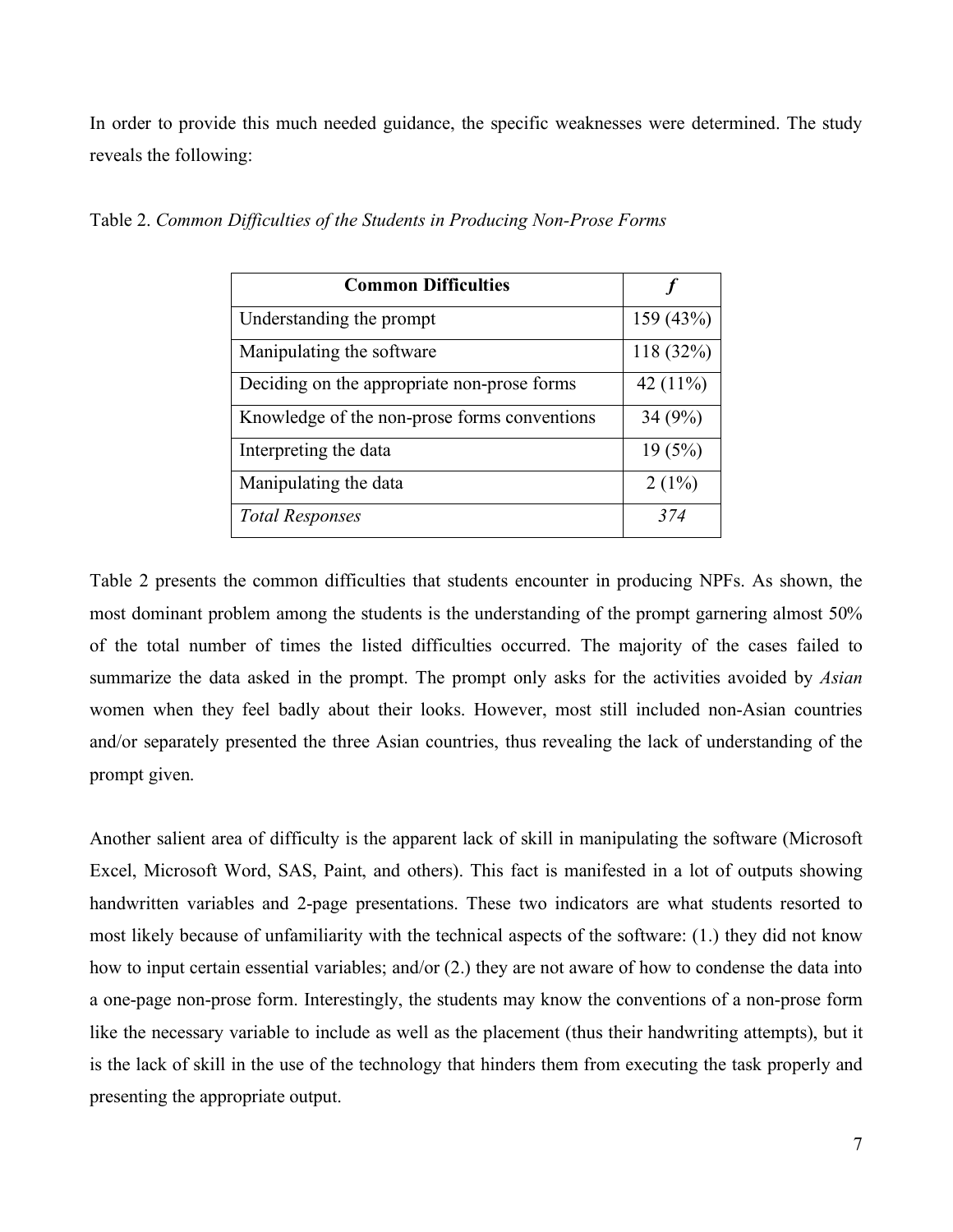In order to provide this much needed guidance, the specific weaknesses were determined. The study reveals the following:

| <b>Common Difficulties</b>                   |             |
|----------------------------------------------|-------------|
| Understanding the prompt                     | 159 (43%)   |
| Manipulating the software                    | 118 (32%)   |
| Deciding on the appropriate non-prose forms  | 42 $(11\%)$ |
| Knowledge of the non-prose forms conventions | 34(9%)      |
| Interpreting the data                        | 19(5%)      |
| Manipulating the data                        | $2(1\%)$    |
| <b>Total Responses</b>                       | 374         |

Table 2. *Common Difficulties of the Students in Producing Non-Prose Forms*

Table 2 presents the common difficulties that students encounter in producing NPFs. As shown, the most dominant problem among the students is the understanding of the prompt garnering almost 50% of the total number of times the listed difficulties occurred. The majority of the cases failed to summarize the data asked in the prompt. The prompt only asks for the activities avoided by *Asian* women when they feel badly about their looks. However, most still included non-Asian countries and/or separately presented the three Asian countries, thus revealing the lack of understanding of the prompt given.

Another salient area of difficulty is the apparent lack of skill in manipulating the software (Microsoft Excel, Microsoft Word, SAS, Paint, and others). This fact is manifested in a lot of outputs showing handwritten variables and 2-page presentations. These two indicators are what students resorted to most likely because of unfamiliarity with the technical aspects of the software: (1.) they did not know how to input certain essential variables; and/or (2.) they are not aware of how to condense the data into a one-page non-prose form. Interestingly, the students may know the conventions of a non-prose form like the necessary variable to include as well as the placement (thus their handwriting attempts), but it is the lack of skill in the use of the technology that hinders them from executing the task properly and presenting the appropriate output.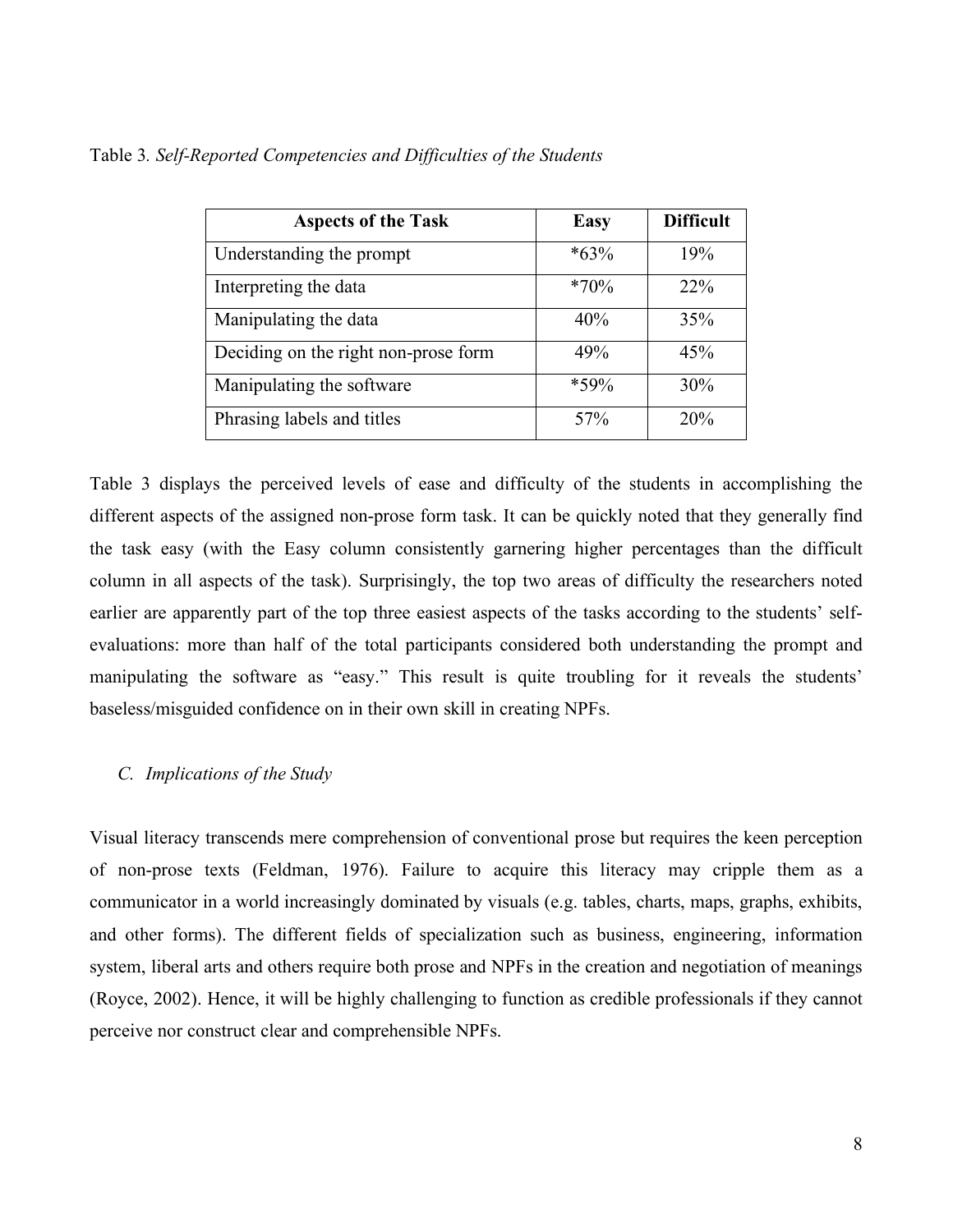| <b>Aspects of the Task</b>           | <b>Easy</b> | <b>Difficult</b> |
|--------------------------------------|-------------|------------------|
| Understanding the prompt             | $*63\%$     | 19%              |
| Interpreting the data                | $*70\%$     | $22\%$           |
| Manipulating the data                | 40%         | 35%              |
| Deciding on the right non-prose form | 49%         | 45%              |
| Manipulating the software            | $*59\%$     | 30%              |
| Phrasing labels and titles           | 57%         | 20%              |

Table 3*. Self-Reported Competencies and Difficulties of the Students*

Table 3 displays the perceived levels of ease and difficulty of the students in accomplishing the different aspects of the assigned non-prose form task. It can be quickly noted that they generally find the task easy (with the Easy column consistently garnering higher percentages than the difficult column in all aspects of the task). Surprisingly, the top two areas of difficulty the researchers noted earlier are apparently part of the top three easiest aspects of the tasks according to the students' selfevaluations: more than half of the total participants considered both understanding the prompt and manipulating the software as "easy." This result is quite troubling for it reveals the students' baseless/misguided confidence on in their own skill in creating NPFs.

# *C. Implications of the Study*

Visual literacy transcends mere comprehension of conventional prose but requires the keen perception of non-prose texts (Feldman, 1976). Failure to acquire this literacy may cripple them as a communicator in a world increasingly dominated by visuals (e.g. tables, charts, maps, graphs, exhibits, and other forms). The different fields of specialization such as business, engineering, information system, liberal arts and others require both prose and NPFs in the creation and negotiation of meanings (Royce, 2002). Hence, it will be highly challenging to function as credible professionals if they cannot perceive nor construct clear and comprehensible NPFs.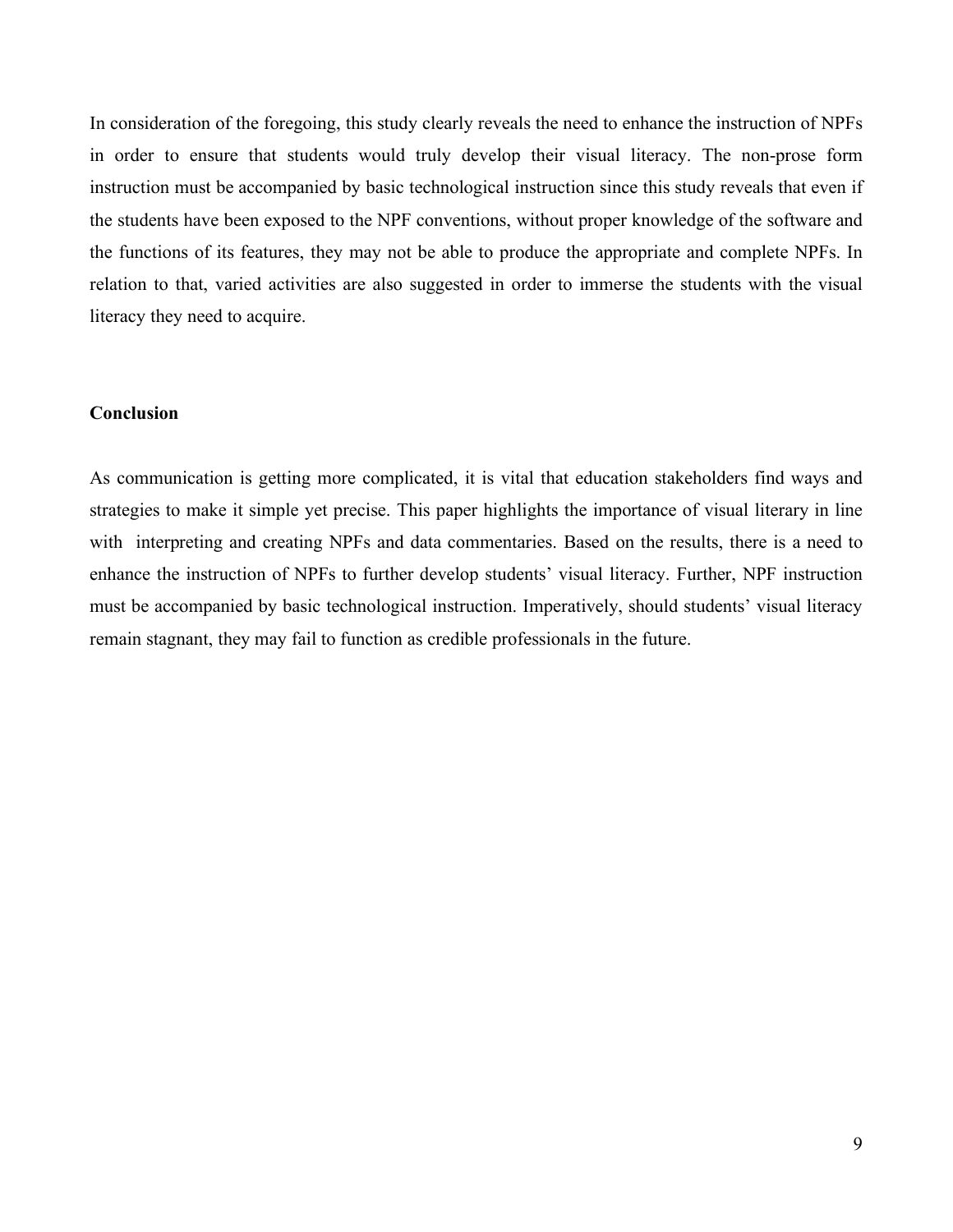In consideration of the foregoing, this study clearly reveals the need to enhance the instruction of NPFs in order to ensure that students would truly develop their visual literacy. The non-prose form instruction must be accompanied by basic technological instruction since this study reveals that even if the students have been exposed to the NPF conventions, without proper knowledge of the software and the functions of its features, they may not be able to produce the appropriate and complete NPFs. In relation to that, varied activities are also suggested in order to immerse the students with the visual literacy they need to acquire.

# **Conclusion**

As communication is getting more complicated, it is vital that education stakeholders find ways and strategies to make it simple yet precise. This paper highlights the importance of visual literary in line with interpreting and creating NPFs and data commentaries. Based on the results, there is a need to enhance the instruction of NPFs to further develop students' visual literacy. Further, NPF instruction must be accompanied by basic technological instruction. Imperatively, should students' visual literacy remain stagnant, they may fail to function as credible professionals in the future.